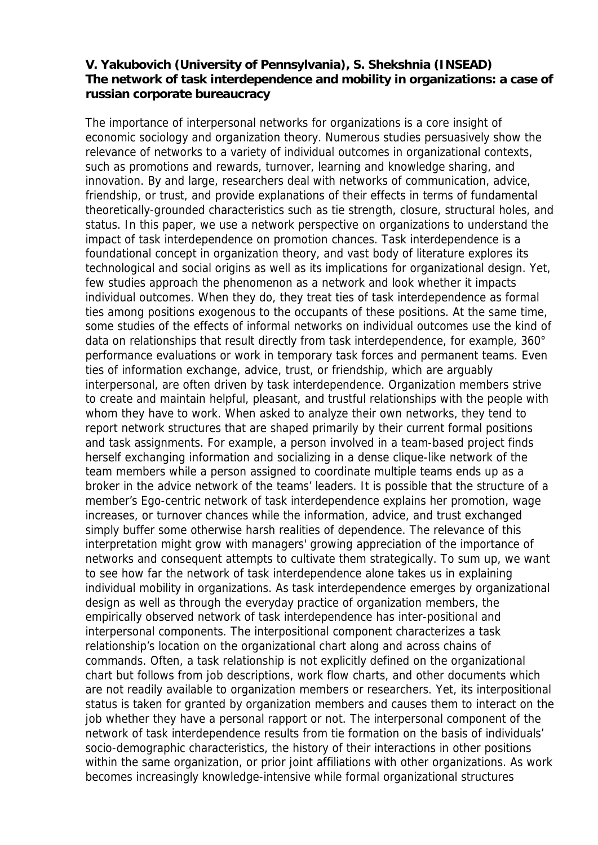## **V. Yakubovich (University of Pennsylvania), S. Shekshnia (INSEAD) The network of task interdependence and mobility in organizations: a case of russian corporate bureaucracy**

The importance of interpersonal networks for organizations is a core insight of economic sociology and organization theory. Numerous studies persuasively show the relevance of networks to a variety of individual outcomes in organizational contexts, such as promotions and rewards, turnover, learning and knowledge sharing, and innovation. By and large, researchers deal with networks of communication, advice, friendship, or trust, and provide explanations of their effects in terms of fundamental theoretically-grounded characteristics such as tie strength, closure, structural holes, and status. In this paper, we use a network perspective on organizations to understand the impact of task interdependence on promotion chances. Task interdependence is a foundational concept in organization theory, and vast body of literature explores its technological and social origins as well as its implications for organizational design. Yet, few studies approach the phenomenon as a network and look whether it impacts individual outcomes. When they do, they treat ties of task interdependence as formal ties among positions exogenous to the occupants of these positions. At the same time, some studies of the effects of informal networks on individual outcomes use the kind of data on relationships that result directly from task interdependence, for example, 360° performance evaluations or work in temporary task forces and permanent teams. Even ties of information exchange, advice, trust, or friendship, which are arguably interpersonal, are often driven by task interdependence. Organization members strive to create and maintain helpful, pleasant, and trustful relationships with the people with whom they have to work. When asked to analyze their own networks, they tend to report network structures that are shaped primarily by their current formal positions and task assignments. For example, a person involved in a team-based project finds herself exchanging information and socializing in a dense clique-like network of the team members while a person assigned to coordinate multiple teams ends up as a broker in the advice network of the teams' leaders. It is possible that the structure of a member's Ego-centric network of task interdependence explains her promotion, wage increases, or turnover chances while the information, advice, and trust exchanged simply buffer some otherwise harsh realities of dependence. The relevance of this interpretation might grow with managers' growing appreciation of the importance of networks and consequent attempts to cultivate them strategically. To sum up, we want to see how far the network of task interdependence alone takes us in explaining individual mobility in organizations. As task interdependence emerges by organizational design as well as through the everyday practice of organization members, the empirically observed network of task interdependence has inter-positional and interpersonal components. The interpositional component characterizes a task relationship's location on the organizational chart along and across chains of commands. Often, a task relationship is not explicitly defined on the organizational chart but follows from job descriptions, work flow charts, and other documents which are not readily available to organization members or researchers. Yet, its interpositional status is taken for granted by organization members and causes them to interact on the job whether they have a personal rapport or not. The interpersonal component of the network of task interdependence results from tie formation on the basis of individuals' socio-demographic characteristics, the history of their interactions in other positions within the same organization, or prior joint affiliations with other organizations. As work becomes increasingly knowledge-intensive while formal organizational structures